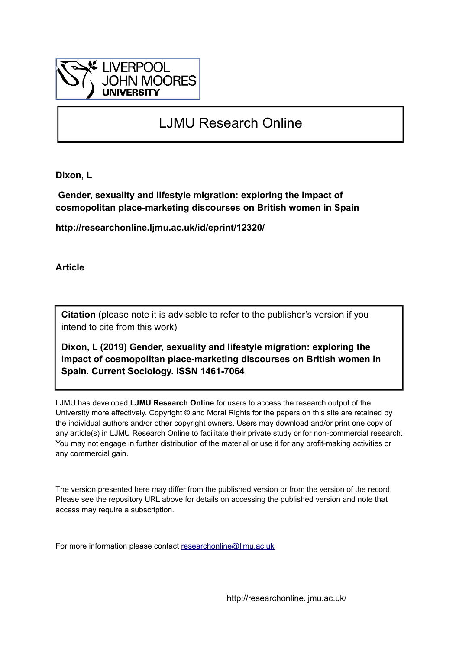

# LJMU Research Online

**Dixon, L**

 **Gender, sexuality and lifestyle migration: exploring the impact of cosmopolitan place-marketing discourses on British women in Spain**

**http://researchonline.ljmu.ac.uk/id/eprint/12320/**

**Article**

**Citation** (please note it is advisable to refer to the publisher's version if you intend to cite from this work)

**Dixon, L (2019) Gender, sexuality and lifestyle migration: exploring the impact of cosmopolitan place-marketing discourses on British women in Spain. Current Sociology. ISSN 1461-7064** 

LJMU has developed **[LJMU Research Online](http://researchonline.ljmu.ac.uk/)** for users to access the research output of the University more effectively. Copyright © and Moral Rights for the papers on this site are retained by the individual authors and/or other copyright owners. Users may download and/or print one copy of any article(s) in LJMU Research Online to facilitate their private study or for non-commercial research. You may not engage in further distribution of the material or use it for any profit-making activities or any commercial gain.

The version presented here may differ from the published version or from the version of the record. Please see the repository URL above for details on accessing the published version and note that access may require a subscription.

For more information please contact [researchonline@ljmu.ac.uk](mailto:researchonline@ljmu.ac.uk)

http://researchonline.ljmu.ac.uk/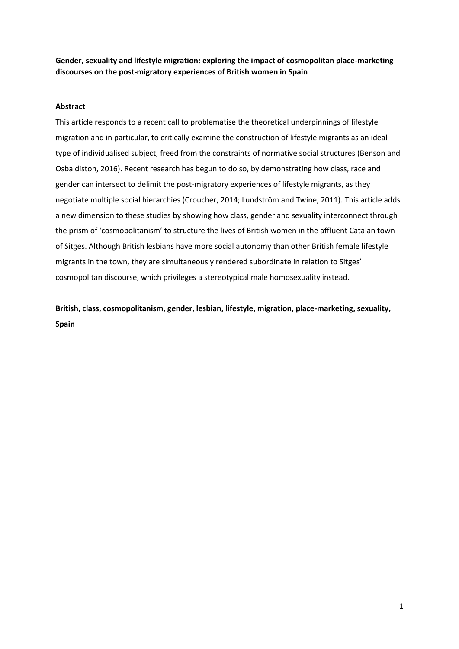**Gender, sexuality and lifestyle migration: exploring the impact of cosmopolitan place-marketing discourses on the post-migratory experiences of British women in Spain**

### **Abstract**

This article responds to a recent call to problematise the theoretical underpinnings of lifestyle migration and in particular, to critically examine the construction of lifestyle migrants as an idealtype of individualised subject, freed from the constraints of normative social structures (Benson and Osbaldiston, 2016). Recent research has begun to do so, by demonstrating how class, race and gender can intersect to delimit the post-migratory experiences of lifestyle migrants, as they negotiate multiple social hierarchies (Croucher, 2014; Lundström and Twine, 2011). This article adds a new dimension to these studies by showing how class, gender and sexuality interconnect through the prism of 'cosmopolitanism' to structure the lives of British women in the affluent Catalan town of Sitges. Although British lesbians have more social autonomy than other British female lifestyle migrants in the town, they are simultaneously rendered subordinate in relation to Sitges' cosmopolitan discourse, which privileges a stereotypical male homosexuality instead.

**British, class, cosmopolitanism, gender, lesbian, lifestyle, migration, place-marketing, sexuality, Spain**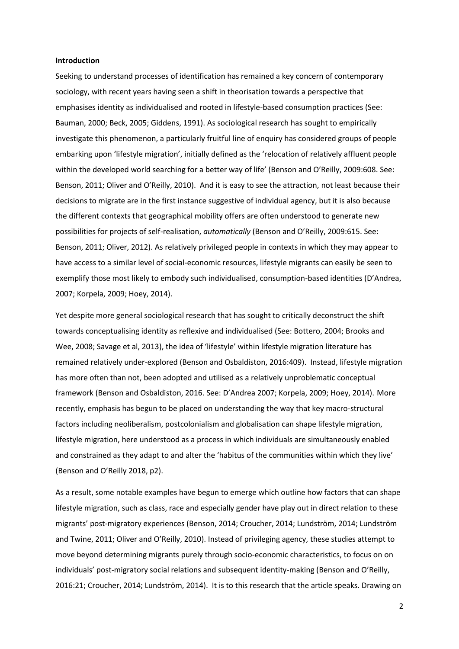#### **Introduction**

Seeking to understand processes of identification has remained a key concern of contemporary sociology, with recent years having seen a shift in theorisation towards a perspective that emphasises identity as individualised and rooted in lifestyle-based consumption practices (See: Bauman, 2000; Beck, 2005; Giddens, 1991). As sociological research has sought to empirically investigate this phenomenon, a particularly fruitful line of enquiry has considered groups of people embarking upon 'lifestyle migration', initially defined as the 'relocation of relatively affluent people within the developed world searching for a better way of life' (Benson and O'Reilly, 2009:608. See: Benson, 2011; Oliver and O'Reilly, 2010). And it is easy to see the attraction, not least because their decisions to migrate are in the first instance suggestive of individual agency, but it is also because the different contexts that geographical mobility offers are often understood to generate new possibilities for projects of self-realisation, *automatically* (Benson and O'Reilly, 2009:615. See: Benson, 2011; Oliver, 2012). As relatively privileged people in contexts in which they may appear to have access to a similar level of social-economic resources, lifestyle migrants can easily be seen to exemplify those most likely to embody such individualised, consumption-based identities (D'Andrea, 2007; Korpela, 2009; Hoey, 2014).

Yet despite more general sociological research that has sought to critically deconstruct the shift towards conceptualising identity as reflexive and individualised (See: Bottero, 2004; Brooks and Wee, 2008; Savage et al, 2013), the idea of 'lifestyle' within lifestyle migration literature has remained relatively under-explored (Benson and Osbaldiston, 2016:409). Instead, lifestyle migration has more often than not, been adopted and utilised as a relatively unproblematic conceptual framework (Benson and Osbaldiston, 2016. See: D'Andrea 2007; Korpela, 2009; Hoey, 2014). More recently, emphasis has begun to be placed on understanding the way that key macro-structural factors including neoliberalism, postcolonialism and globalisation can shape lifestyle migration, lifestyle migration, here understood as a process in which individuals are simultaneously enabled and constrained as they adapt to and alter the 'habitus of the communities within which they live' (Benson and O'Reilly 2018, p2).

As a result, some notable examples have begun to emerge which outline how factors that can shape lifestyle migration, such as class, race and especially gender have play out in direct relation to these migrants' post-migratory experiences (Benson, 2014; Croucher, 2014; Lundström, 2014; Lundström and Twine, 2011; Oliver and O'Reilly, 2010). Instead of privileging agency, these studies attempt to move beyond determining migrants purely through socio-economic characteristics, to focus on on individuals' post-migratory social relations and subsequent identity-making (Benson and O'Reilly, 2016:21; Croucher, 2014; Lundström, 2014). It is to this research that the article speaks. Drawing on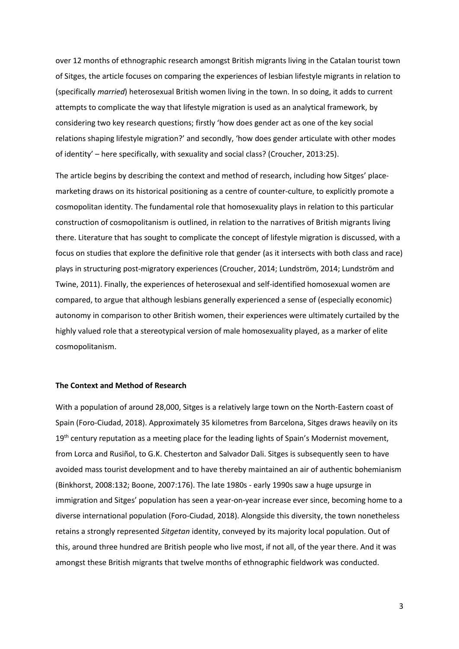over 12 months of ethnographic research amongst British migrants living in the Catalan tourist town of Sitges, the article focuses on comparing the experiences of lesbian lifestyle migrants in relation to (specifically *married*) heterosexual British women living in the town. In so doing, it adds to current attempts to complicate the way that lifestyle migration is used as an analytical framework, by considering two key research questions; firstly 'how does gender act as one of the key social relations shaping lifestyle migration?' and secondly, 'how does gender articulate with other modes of identity' – here specifically, with sexuality and social class? (Croucher, 2013:25).

The article begins by describing the context and method of research, including how Sitges' placemarketing draws on its historical positioning as a centre of counter-culture, to explicitly promote a cosmopolitan identity. The fundamental role that homosexuality plays in relation to this particular construction of cosmopolitanism is outlined, in relation to the narratives of British migrants living there. Literature that has sought to complicate the concept of lifestyle migration is discussed, with a focus on studies that explore the definitive role that gender (as it intersects with both class and race) plays in structuring post-migratory experiences (Croucher, 2014; Lundström, 2014; Lundström and Twine, 2011). Finally, the experiences of heterosexual and self-identified homosexual women are compared, to argue that although lesbians generally experienced a sense of (especially economic) autonomy in comparison to other British women, their experiences were ultimately curtailed by the highly valued role that a stereotypical version of male homosexuality played, as a marker of elite cosmopolitanism.

# **The Context and Method of Research**

With a population of around 28,000, Sitges is a relatively large town on the North-Eastern coast of Spain (Foro-Ciudad, 2018). Approximately 35 kilometres from Barcelona, Sitges draws heavily on its 19<sup>th</sup> century reputation as a meeting place for the leading lights of Spain's Modernist movement, from Lorca and Rusiñol, to G.K. Chesterton and Salvador Dali. Sitges is subsequently seen to have avoided mass tourist development and to have thereby maintained an air of authentic bohemianism (Binkhorst, 2008:132; Boone, 2007:176). The late 1980s - early 1990s saw a huge upsurge in immigration and Sitges' population has seen a year-on-year increase ever since, becoming home to a diverse international population (Foro-Ciudad, 2018). Alongside this diversity, the town nonetheless retains a strongly represented *Sitgetan* identity, conveyed by its majority local population. Out of this, around three hundred are British people who live most, if not all, of the year there. And it was amongst these British migrants that twelve months of ethnographic fieldwork was conducted.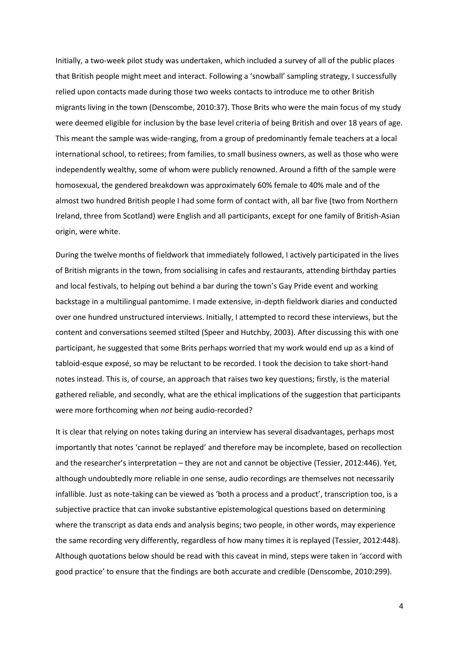Initially, a two-week pilot study was undertaken, which included a survey of all of the public places that British people might meet and interact. Following a 'snowball' sampling strategy, I successfully relied upon contacts made during those two weeks contacts to introduce me to other British migrants living in the town (Denscombe, 2010:37). Those Brits who were the main focus of my study were deemed eligible for inclusion by the base level criteria of being British and over 18 years of age. This meant the sample was wide-ranging, from a group of predominantly female teachers at a local international school, to retirees; from families, to small business owners, as well as those who were independently wealthy, some of whom were publicly renowned. Around a fifth of the sample were homosexual, the gendered breakdown was approximately 60% female to 40% male and of the almost two hundred British people I had some form of contact with, all bar five (two from Northern Ireland, three from Scotland) were English and all participants, except for one family of British-Asian origin, were white.

During the twelve months of fieldwork that immediately followed, I actively participated in the lives of British migrants in the town, from socialising in cafes and restaurants, attending birthday parties and local festivals, to helping out behind a bar during the town's Gay Pride event and working backstage in a multilingual pantomime. I made extensive, in-depth fieldwork diaries and conducted over one hundred unstructured interviews. Initially, I attempted to record these interviews, but the content and conversations seemed stilted (Speer and Hutchby, 2003). After discussing this with one participant, he suggested that some Brits perhaps worried that my work would end up as a kind of tabloid-esque exposé, so may be reluctant to be recorded. I took the decision to take short-hand notes instead. This is, of course, an approach that raises two key questions; firstly, is the material gathered reliable, and secondly, what are the ethical implications of the suggestion that participants were more forthcoming when *not* being audio-recorded?

It is clear that relying on notes taking during an interview has several disadvantages, perhaps most importantly that notes 'cannot be replayed' and therefore may be incomplete, based on recollection and the researcher's interpretation – they are not and cannot be objective (Tessier, 2012:446). Yet, although undoubtedly more reliable in one sense, audio recordings are themselves not necessarily infallible. Just as note-taking can be viewed as 'both a process and a product', transcription too, is a subjective practice that can invoke substantive epistemological questions based on determining where the transcript as data ends and analysis begins; two people, in other words, may experience the same recording very differently, regardless of how many times it is replayed (Tessier, 2012:448). Although quotations below should be read with this caveat in mind, steps were taken in 'accord with good practice' to ensure that the findings are both accurate and credible (Denscombe, 2010:299).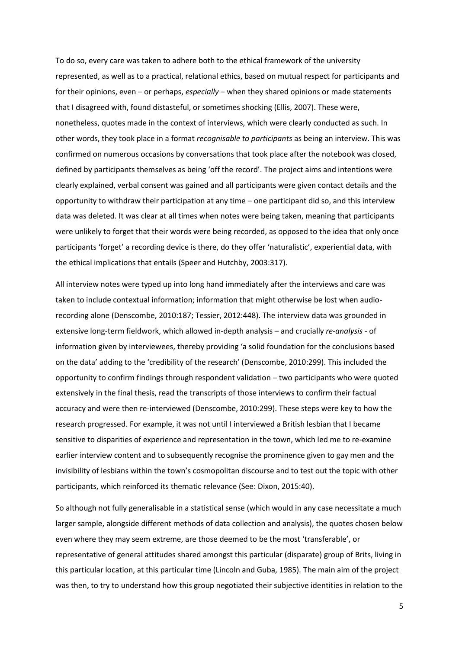To do so, every care was taken to adhere both to the ethical framework of the university represented, as well as to a practical, relational ethics, based on mutual respect for participants and for their opinions, even – or perhaps, *especially* – when they shared opinions or made statements that I disagreed with, found distasteful, or sometimes shocking (Ellis, 2007). These were, nonetheless, quotes made in the context of interviews, which were clearly conducted as such. In other words, they took place in a format *recognisable to participants* as being an interview. This was confirmed on numerous occasions by conversations that took place after the notebook was closed, defined by participants themselves as being 'off the record'. The project aims and intentions were clearly explained, verbal consent was gained and all participants were given contact details and the opportunity to withdraw their participation at any time – one participant did so, and this interview data was deleted. It was clear at all times when notes were being taken, meaning that participants were unlikely to forget that their words were being recorded, as opposed to the idea that only once participants 'forget' a recording device is there, do they offer 'naturalistic', experiential data, with the ethical implications that entails (Speer and Hutchby, 2003:317).

All interview notes were typed up into long hand immediately after the interviews and care was taken to include contextual information; information that might otherwise be lost when audiorecording alone (Denscombe, 2010:187; Tessier, 2012:448). The interview data was grounded in extensive long-term fieldwork, which allowed in-depth analysis – and crucially *re-analysis* - of information given by interviewees, thereby providing 'a solid foundation for the conclusions based on the data' adding to the 'credibility of the research' (Denscombe, 2010:299). This included the opportunity to confirm findings through respondent validation – two participants who were quoted extensively in the final thesis, read the transcripts of those interviews to confirm their factual accuracy and were then re-interviewed (Denscombe, 2010:299). These steps were key to how the research progressed. For example, it was not until I interviewed a British lesbian that I became sensitive to disparities of experience and representation in the town, which led me to re-examine earlier interview content and to subsequently recognise the prominence given to gay men and the invisibility of lesbians within the town's cosmopolitan discourse and to test out the topic with other participants, which reinforced its thematic relevance (See: Dixon, 2015:40).

So although not fully generalisable in a statistical sense (which would in any case necessitate a much larger sample, alongside different methods of data collection and analysis), the quotes chosen below even where they may seem extreme, are those deemed to be the most 'transferable', or representative of general attitudes shared amongst this particular (disparate) group of Brits, living in this particular location, at this particular time (Lincoln and Guba, 1985). The main aim of the project was then, to try to understand how this group negotiated their subjective identities in relation to the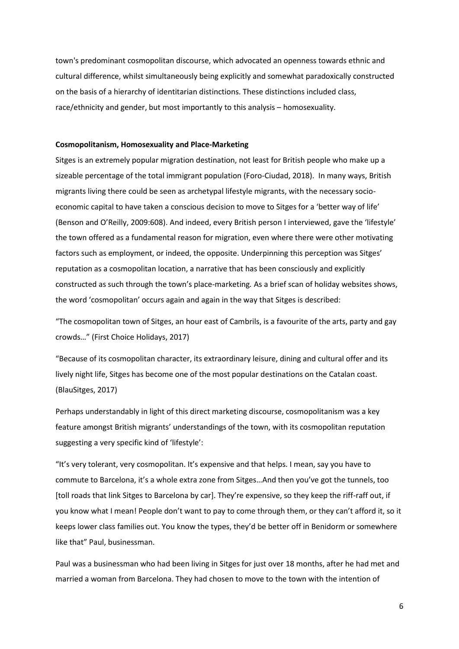town's predominant cosmopolitan discourse, which advocated an openness towards ethnic and cultural difference, whilst simultaneously being explicitly and somewhat paradoxically constructed on the basis of a hierarchy of identitarian distinctions. These distinctions included class, race/ethnicity and gender, but most importantly to this analysis – homosexuality.

#### **Cosmopolitanism, Homosexuality and Place-Marketing**

Sitges is an extremely popular migration destination, not least for British people who make up a sizeable percentage of the total immigrant population (Foro-Ciudad, 2018). In many ways, British migrants living there could be seen as archetypal lifestyle migrants, with the necessary socioeconomic capital to have taken a conscious decision to move to Sitges for a 'better way of life' (Benson and O'Reilly, 2009:608). And indeed, every British person I interviewed, gave the 'lifestyle' the town offered as a fundamental reason for migration, even where there were other motivating factors such as employment, or indeed, the opposite. Underpinning this perception was Sitges' reputation as a cosmopolitan location, a narrative that has been consciously and explicitly constructed as such through the town's place-marketing*.* As a brief scan of holiday websites shows, the word 'cosmopolitan' occurs again and again in the way that Sitges is described:

"The cosmopolitan town of Sitges, an hour east of Cambrils, is a favourite of the arts, party and gay crowds…" (First Choice Holidays, 2017)

"Because of its cosmopolitan character, its extraordinary leisure, dining and cultural offer and its lively night life, Sitges has become one of the most popular destinations on the Catalan coast. (BlauSitges, 2017)

Perhaps understandably in light of this direct marketing discourse, cosmopolitanism was a key feature amongst British migrants' understandings of the town, with its cosmopolitan reputation suggesting a very specific kind of 'lifestyle':

"It's very tolerant, very cosmopolitan. It's expensive and that helps. I mean, say you have to commute to Barcelona, it's a whole extra zone from Sitges…And then you've got the tunnels, too [toll roads that link Sitges to Barcelona by car]. They're expensive, so they keep the riff-raff out, if you know what I mean! People don't want to pay to come through them, or they can't afford it, so it keeps lower class families out. You know the types, they'd be better off in Benidorm or somewhere like that" Paul, businessman.

Paul was a businessman who had been living in Sitges for just over 18 months, after he had met and married a woman from Barcelona. They had chosen to move to the town with the intention of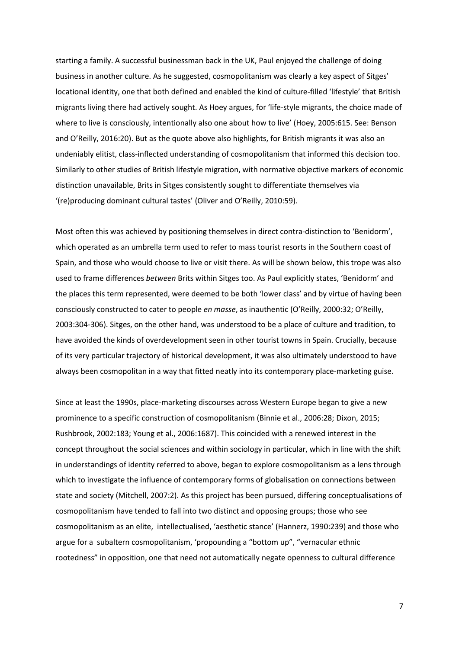starting a family. A successful businessman back in the UK, Paul enjoyed the challenge of doing business in another culture. As he suggested, cosmopolitanism was clearly a key aspect of Sitges' locational identity, one that both defined and enabled the kind of culture-filled 'lifestyle' that British migrants living there had actively sought. As Hoey argues, for 'life-style migrants, the choice made of where to live is consciously, intentionally also one about how to live' (Hoey, 2005:615. See: Benson and O'Reilly, 2016:20). But as the quote above also highlights, for British migrants it was also an undeniably elitist, class-inflected understanding of cosmopolitanism that informed this decision too. Similarly to other studies of British lifestyle migration, with normative objective markers of economic distinction unavailable, Brits in Sitges consistently sought to differentiate themselves via '(re)producing dominant cultural tastes' (Oliver and O'Reilly, 2010:59).

Most often this was achieved by positioning themselves in direct contra-distinction to 'Benidorm', which operated as an umbrella term used to refer to mass tourist resorts in the Southern coast of Spain, and those who would choose to live or visit there. As will be shown below, this trope was also used to frame differences *between* Brits within Sitges too. As Paul explicitly states, 'Benidorm' and the places this term represented, were deemed to be both 'lower class' and by virtue of having been consciously constructed to cater to people *en masse*, as inauthentic (O'Reilly, 2000:32; O'Reilly, 2003:304-306). Sitges, on the other hand, was understood to be a place of culture and tradition, to have avoided the kinds of overdevelopment seen in other tourist towns in Spain. Crucially, because of its very particular trajectory of historical development, it was also ultimately understood to have always been cosmopolitan in a way that fitted neatly into its contemporary place-marketing guise.

Since at least the 1990s, place-marketing discourses across Western Europe began to give a new prominence to a specific construction of cosmopolitanism (Binnie et al., 2006:28; Dixon, 2015; Rushbrook, 2002:183; Young et al., 2006:1687). This coincided with a renewed interest in the concept throughout the social sciences and within sociology in particular, which in line with the shift in understandings of identity referred to above, began to explore cosmopolitanism as a lens through which to investigate the influence of contemporary forms of globalisation on connections between state and society (Mitchell, 2007:2). As this project has been pursued, differing conceptualisations of cosmopolitanism have tended to fall into two distinct and opposing groups; those who see cosmopolitanism as an elite, intellectualised, 'aesthetic stance' (Hannerz, 1990:239) and those who argue for a subaltern cosmopolitanism, 'propounding a "bottom up", "vernacular ethnic rootedness" in opposition, one that need not automatically negate openness to cultural difference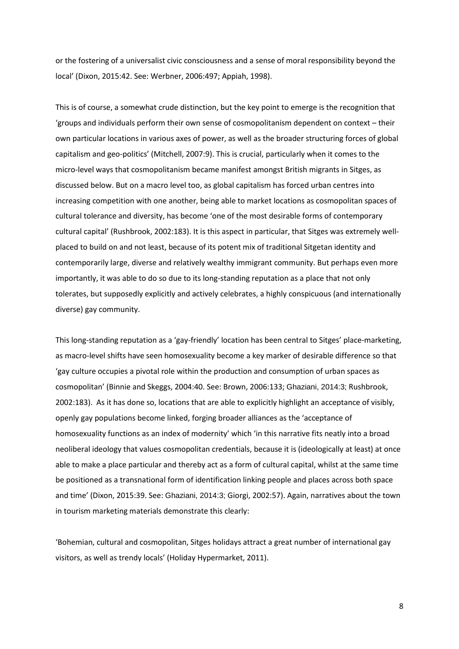or the fostering of a universalist civic consciousness and a sense of moral responsibility beyond the local' (Dixon, 2015:42. See: Werbner, 2006:497; Appiah, 1998).

This is of course, a somewhat crude distinction, but the key point to emerge is the recognition that 'groups and individuals perform their own sense of cosmopolitanism dependent on context – their own particular locations in various axes of power, as well as the broader structuring forces of global capitalism and geo-politics' (Mitchell, 2007:9). This is crucial, particularly when it comes to the micro-level ways that cosmopolitanism became manifest amongst British migrants in Sitges, as discussed below. But on a macro level too, as global capitalism has forced urban centres into increasing competition with one another, being able to market locations as cosmopolitan spaces of cultural tolerance and diversity, has become 'one of the most desirable forms of contemporary cultural capital' (Rushbrook, 2002:183). It is this aspect in particular, that Sitges was extremely wellplaced to build on and not least, because of its potent mix of traditional Sitgetan identity and contemporarily large, diverse and relatively wealthy immigrant community. But perhaps even more importantly, it was able to do so due to its long-standing reputation as a place that not only tolerates, but supposedly explicitly and actively celebrates, a highly conspicuous (and internationally diverse) gay community.

This long-standing reputation as a 'gay-friendly' location has been central to Sitges' place-marketing, as macro-level shifts have seen homosexuality become a key marker of desirable difference so that 'gay culture occupies a pivotal role within the production and consumption of urban spaces as cosmopolitan' (Binnie and Skeggs, 2004:40. See: Brown, 2006:133; Ghaziani, 2014:3; Rushbrook, 2002:183). As it has done so, locations that are able to explicitly highlight an acceptance of visibly, openly gay populations become linked, forging broader alliances as the 'acceptance of homosexuality functions as an index of modernity' which 'in this narrative fits neatly into a broad neoliberal ideology that values cosmopolitan credentials, because it is (ideologically at least) at once able to make a place particular and thereby act as a form of cultural capital, whilst at the same time be positioned as a transnational form of identification linking people and places across both space and time' (Dixon, 2015:39. See: Ghaziani, 2014:3; Giorgi, 2002:57). Again, narratives about the town in tourism marketing materials demonstrate this clearly:

'Bohemian, cultural and cosmopolitan, Sitges holidays attract a great number of international gay visitors, as well as trendy locals' (Holiday Hypermarket, 2011).

8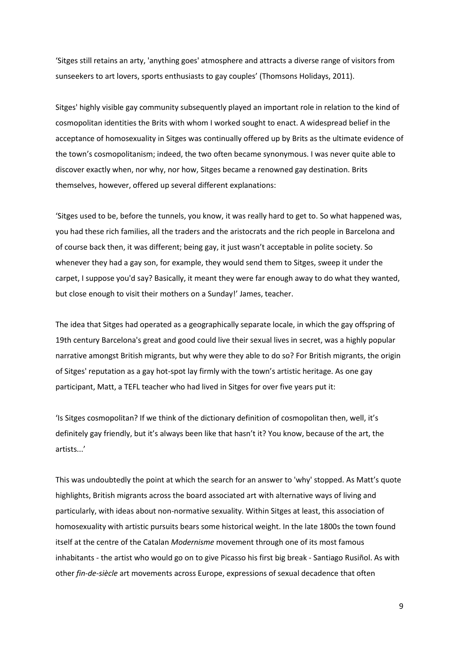'Sitges still retains an arty, 'anything goes' atmosphere and attracts a diverse range of visitors from sunseekers to art lovers, sports enthusiasts to gay couples' (Thomsons Holidays, 2011).

Sitges' highly visible gay community subsequently played an important role in relation to the kind of cosmopolitan identities the Brits with whom I worked sought to enact. A widespread belief in the acceptance of homosexuality in Sitges was continually offered up by Brits as the ultimate evidence of the town's cosmopolitanism; indeed, the two often became synonymous. I was never quite able to discover exactly when, nor why, nor how, Sitges became a renowned gay destination. Brits themselves, however, offered up several different explanations:

'Sitges used to be, before the tunnels, you know, it was really hard to get to. So what happened was, you had these rich families, all the traders and the aristocrats and the rich people in Barcelona and of course back then, it was different; being gay, it just wasn't acceptable in polite society. So whenever they had a gay son, for example, they would send them to Sitges, sweep it under the carpet, I suppose you'd say? Basically, it meant they were far enough away to do what they wanted, but close enough to visit their mothers on a Sunday!' James, teacher.

The idea that Sitges had operated as a geographically separate locale, in which the gay offspring of 19th century Barcelona's great and good could live their sexual lives in secret, was a highly popular narrative amongst British migrants, but why were they able to do so? For British migrants, the origin of Sitges' reputation as a gay hot-spot lay firmly with the town's artistic heritage. As one gay participant, Matt, a TEFL teacher who had lived in Sitges for over five years put it:

'Is Sitges cosmopolitan? If we think of the dictionary definition of cosmopolitan then, well, it's definitely gay friendly, but it's always been like that hasn't it? You know, because of the art, the artists...'

This was undoubtedly the point at which the search for an answer to 'why' stopped. As Matt's quote highlights, British migrants across the board associated art with alternative ways of living and particularly, with ideas about non-normative sexuality. Within Sitges at least, this association of homosexuality with artistic pursuits bears some historical weight. In the late 1800s the town found itself at the centre of the Catalan *Modernisme* movement through one of its most famous inhabitants - the artist who would go on to give Picasso his first big break - Santiago Rusiñol. As with other *fin-de-siècle* art movements across Europe, expressions of sexual decadence that often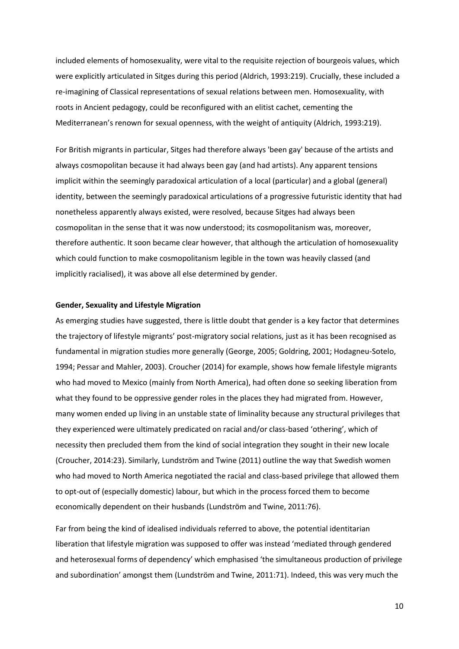included elements of homosexuality, were vital to the requisite rejection of bourgeois values, which were explicitly articulated in Sitges during this period (Aldrich, 1993:219). Crucially, these included a re-imagining of Classical representations of sexual relations between men. Homosexuality, with roots in Ancient pedagogy, could be reconfigured with an elitist cachet, cementing the Mediterranean's renown for sexual openness, with the weight of antiquity (Aldrich, 1993:219).

For British migrants in particular, Sitges had therefore always 'been gay' because of the artists and always cosmopolitan because it had always been gay (and had artists). Any apparent tensions implicit within the seemingly paradoxical articulation of a local (particular) and a global (general) identity, between the seemingly paradoxical articulations of a progressive futuristic identity that had nonetheless apparently always existed, were resolved, because Sitges had always been cosmopolitan in the sense that it was now understood; its cosmopolitanism was, moreover, therefore authentic. It soon became clear however, that although the articulation of homosexuality which could function to make cosmopolitanism legible in the town was heavily classed (and implicitly racialised), it was above all else determined by gender.

### **Gender, Sexuality and Lifestyle Migration**

As emerging studies have suggested, there is little doubt that gender is a key factor that determines the trajectory of lifestyle migrants' post-migratory social relations, just as it has been recognised as fundamental in migration studies more generally (George, 2005; Goldring, 2001; Hodagneu-Sotelo, 1994; Pessar and Mahler, 2003). Croucher (2014) for example, shows how female lifestyle migrants who had moved to Mexico (mainly from North America), had often done so seeking liberation from what they found to be oppressive gender roles in the places they had migrated from. However, many women ended up living in an unstable state of liminality because any structural privileges that they experienced were ultimately predicated on racial and/or class-based 'othering', which of necessity then precluded them from the kind of social integration they sought in their new locale (Croucher, 2014:23). Similarly, Lundström and Twine (2011) outline the way that Swedish women who had moved to North America negotiated the racial and class-based privilege that allowed them to opt-out of (especially domestic) labour, but which in the process forced them to become economically dependent on their husbands (Lundström and Twine, 2011:76).

Far from being the kind of idealised individuals referred to above, the potential identitarian liberation that lifestyle migration was supposed to offer was instead 'mediated through gendered and heterosexual forms of dependency' which emphasised 'the simultaneous production of privilege and subordination' amongst them (Lundström and Twine, 2011:71). Indeed, this was very much the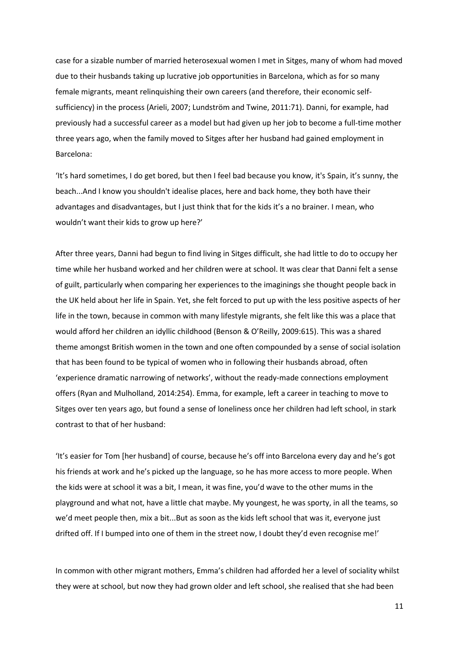case for a sizable number of married heterosexual women I met in Sitges, many of whom had moved due to their husbands taking up lucrative job opportunities in Barcelona, which as for so many female migrants, meant relinquishing their own careers (and therefore, their economic selfsufficiency) in the process (Arieli, 2007; Lundström and Twine, 2011:71). Danni, for example, had previously had a successful career as a model but had given up her job to become a full-time mother three years ago, when the family moved to Sitges after her husband had gained employment in Barcelona:

'It's hard sometimes, I do get bored, but then I feel bad because you know, it's Spain, it's sunny, the beach...And I know you shouldn't idealise places, here and back home, they both have their advantages and disadvantages, but I just think that for the kids it's a no brainer. I mean, who wouldn't want their kids to grow up here?'

After three years, Danni had begun to find living in Sitges difficult, she had little to do to occupy her time while her husband worked and her children were at school. It was clear that Danni felt a sense of guilt, particularly when comparing her experiences to the imaginings she thought people back in the UK held about her life in Spain. Yet, she felt forced to put up with the less positive aspects of her life in the town, because in common with many lifestyle migrants, she felt like this was a place that would afford her children an idyllic childhood (Benson & O'Reilly, 2009:615). This was a shared theme amongst British women in the town and one often compounded by a sense of social isolation that has been found to be typical of women who in following their husbands abroad, often 'experience dramatic narrowing of networks', without the ready-made connections employment offers (Ryan and Mulholland, 2014:254). Emma, for example, left a career in teaching to move to Sitges over ten years ago, but found a sense of loneliness once her children had left school, in stark contrast to that of her husband:

'It's easier for Tom [her husband] of course, because he's off into Barcelona every day and he's got his friends at work and he's picked up the language, so he has more access to more people. When the kids were at school it was a bit, I mean, it was fine, you'd wave to the other mums in the playground and what not, have a little chat maybe. My youngest, he was sporty, in all the teams, so we'd meet people then, mix a bit...But as soon as the kids left school that was it, everyone just drifted off. If I bumped into one of them in the street now, I doubt they'd even recognise me!'

In common with other migrant mothers, Emma's children had afforded her a level of sociality whilst they were at school, but now they had grown older and left school, she realised that she had been

11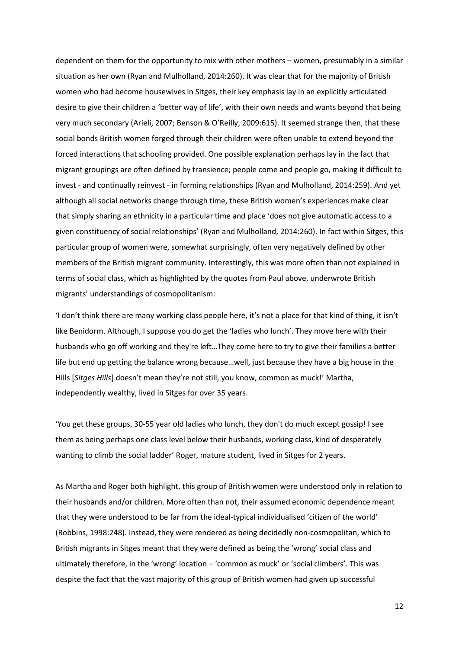dependent on them for the opportunity to mix with other mothers – women, presumably in a similar situation as her own (Ryan and Mulholland, 2014:260). It was clear that for the majority of British women who had become housewives in Sitges, their key emphasis lay in an explicitly articulated desire to give their children a 'better way of life', with their own needs and wants beyond that being very much secondary (Arieli, 2007; Benson & O'Reilly, 2009:615). It seemed strange then, that these social bonds British women forged through their children were often unable to extend beyond the forced interactions that schooling provided. One possible explanation perhaps lay in the fact that migrant groupings are often defined by transience; people come and people go, making it difficult to invest - and continually reinvest - in forming relationships (Ryan and Mulholland, 2014:259). And yet although all social networks change through time, these British women's experiences make clear that simply sharing an ethnicity in a particular time and place 'does not give automatic access to a given constituency of social relationships' (Ryan and Mulholland, 2014:260). In fact within Sitges, this particular group of women were, somewhat surprisingly, often very negatively defined by other members of the British migrant community. Interestingly, this was more often than not explained in terms of social class, which as highlighted by the quotes from Paul above, underwrote British migrants' understandings of cosmopolitanism:

'I don't think there are many working class people here, it's not a place for that kind of thing, it isn't like Benidorm. Although, I suppose you do get the 'ladies who lunch'. They move here with their husbands who go off working and they're left…They come here to try to give their families a better life but end up getting the balance wrong because…well, just because they have a big house in the Hills [*Sitges Hills*] doesn't mean they're not still, you know, common as muck!' Martha, independently wealthy, lived in Sitges for over 35 years.

'You get these groups, 30-55 year old ladies who lunch, they don't do much except gossip! I see them as being perhaps one class level below their husbands, working class, kind of desperately wanting to climb the social ladder' Roger, mature student, lived in Sitges for 2 years.

As Martha and Roger both highlight, this group of British women were understood only in relation to their husbands and/or children. More often than not, their assumed economic dependence meant that they were understood to be far from the ideal-typical individualised 'citizen of the world' (Robbins, 1998:248). Instead, they were rendered as being decidedly non-cosmopolitan, which to British migrants in Sitges meant that they were defined as being the 'wrong' social class and ultimately therefore, in the 'wrong' location – 'common as muck' or 'social climbers'. This was despite the fact that the vast majority of this group of British women had given up successful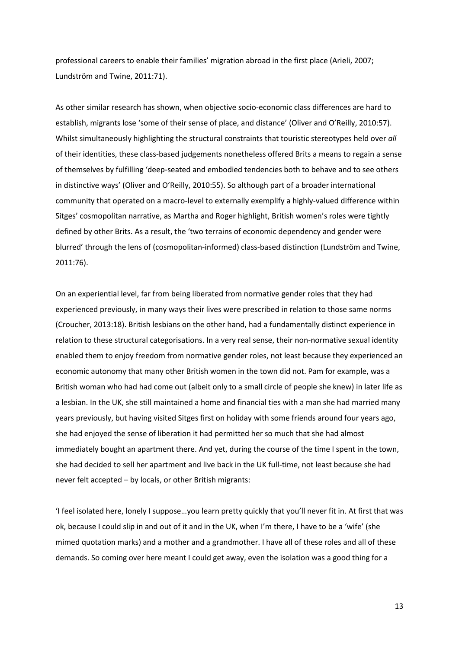professional careers to enable their families' migration abroad in the first place (Arieli, 2007; Lundström and Twine, 2011:71).

As other similar research has shown, when objective socio-economic class differences are hard to establish, migrants lose 'some of their sense of place, and distance' (Oliver and O'Reilly, 2010:57). Whilst simultaneously highlighting the structural constraints that touristic stereotypes held over *all* of their identities, these class-based judgements nonetheless offered Brits a means to regain a sense of themselves by fulfilling 'deep-seated and embodied tendencies both to behave and to see others in distinctive ways' (Oliver and O'Reilly, 2010:55). So although part of a broader international community that operated on a macro-level to externally exemplify a highly-valued difference within Sitges' cosmopolitan narrative, as Martha and Roger highlight, British women's roles were tightly defined by other Brits. As a result, the 'two terrains of economic dependency and gender were blurred' through the lens of (cosmopolitan-informed) class-based distinction (Lundström and Twine, 2011:76).

On an experiential level, far from being liberated from normative gender roles that they had experienced previously, in many ways their lives were prescribed in relation to those same norms (Croucher, 2013:18). British lesbians on the other hand, had a fundamentally distinct experience in relation to these structural categorisations. In a very real sense, their non-normative sexual identity enabled them to enjoy freedom from normative gender roles, not least because they experienced an economic autonomy that many other British women in the town did not. Pam for example, was a British woman who had had come out (albeit only to a small circle of people she knew) in later life as a lesbian. In the UK, she still maintained a home and financial ties with a man she had married many years previously, but having visited Sitges first on holiday with some friends around four years ago, she had enjoyed the sense of liberation it had permitted her so much that she had almost immediately bought an apartment there. And yet, during the course of the time I spent in the town, she had decided to sell her apartment and live back in the UK full-time, not least because she had never felt accepted – by locals, or other British migrants:

'I feel isolated here, lonely I suppose…you learn pretty quickly that you'll never fit in. At first that was ok, because I could slip in and out of it and in the UK, when I'm there, I have to be a 'wife' (she mimed quotation marks) and a mother and a grandmother. I have all of these roles and all of these demands. So coming over here meant I could get away, even the isolation was a good thing for a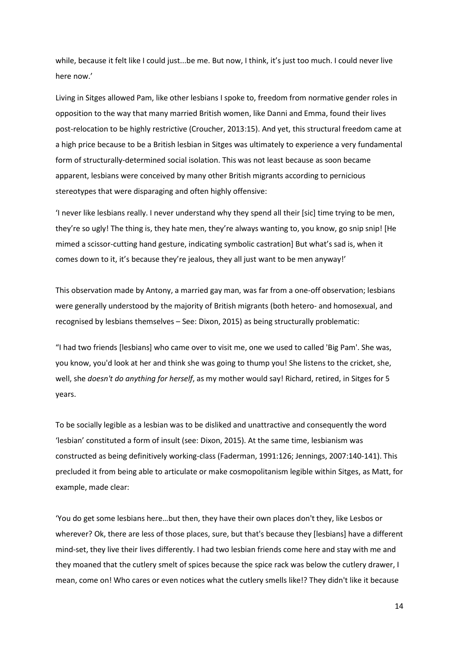while, because it felt like I could just...be me. But now, I think, it's just too much. I could never live here now.'

Living in Sitges allowed Pam, like other lesbians I spoke to, freedom from normative gender roles in opposition to the way that many married British women, like Danni and Emma, found their lives post-relocation to be highly restrictive (Croucher, 2013:15). And yet, this structural freedom came at a high price because to be a British lesbian in Sitges was ultimately to experience a very fundamental form of structurally-determined social isolation. This was not least because as soon became apparent, lesbians were conceived by many other British migrants according to pernicious stereotypes that were disparaging and often highly offensive:

'I never like lesbians really. I never understand why they spend all their [sic] time trying to be men, they're so ugly! The thing is, they hate men, they're always wanting to, you know, go snip snip! [He mimed a scissor-cutting hand gesture, indicating symbolic castration] But what's sad is, when it comes down to it, it's because they're jealous, they all just want to be men anyway!'

This observation made by Antony, a married gay man, was far from a one-off observation; lesbians were generally understood by the majority of British migrants (both hetero- and homosexual, and recognised by lesbians themselves – See: Dixon, 2015) as being structurally problematic:

"I had two friends [lesbians] who came over to visit me, one we used to called 'Big Pam'. She was, you know, you'd look at her and think she was going to thump you! She listens to the cricket, she, well, she *doesn't do anything for herself*, as my mother would say! Richard, retired, in Sitges for 5 years.

To be socially legible as a lesbian was to be disliked and unattractive and consequently the word 'lesbian' constituted a form of insult (see: Dixon, 2015). At the same time, lesbianism was constructed as being definitively working-class (Faderman, 1991:126; Jennings, 2007:140-141). This precluded it from being able to articulate or make cosmopolitanism legible within Sitges, as Matt, for example, made clear:

'You do get some lesbians here…but then, they have their own places don't they, like Lesbos or wherever? Ok, there are less of those places, sure, but that's because they [lesbians] have a different mind-set, they live their lives differently. I had two lesbian friends come here and stay with me and they moaned that the cutlery smelt of spices because the spice rack was below the cutlery drawer, I mean, come on! Who cares or even notices what the cutlery smells like!? They didn't like it because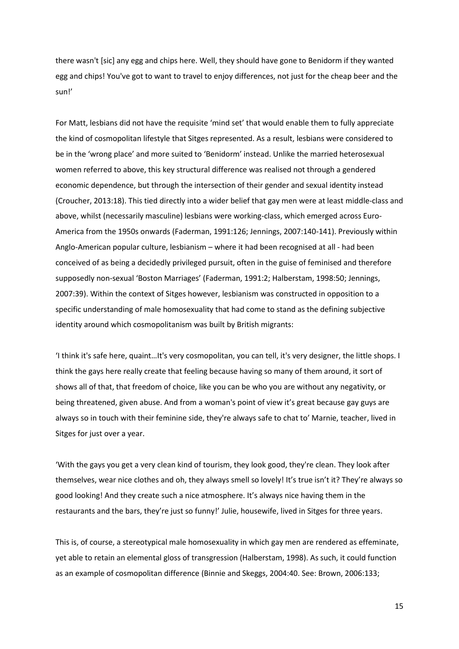there wasn't [sic] any egg and chips here. Well, they should have gone to Benidorm if they wanted egg and chips! You've got to want to travel to enjoy differences, not just for the cheap beer and the sun!'

For Matt, lesbians did not have the requisite 'mind set' that would enable them to fully appreciate the kind of cosmopolitan lifestyle that Sitges represented. As a result, lesbians were considered to be in the 'wrong place' and more suited to 'Benidorm' instead. Unlike the married heterosexual women referred to above, this key structural difference was realised not through a gendered economic dependence, but through the intersection of their gender and sexual identity instead (Croucher, 2013:18). This tied directly into a wider belief that gay men were at least middle-class and above, whilst (necessarily masculine) lesbians were working-class, which emerged across Euro-America from the 1950s onwards (Faderman, 1991:126; Jennings, 2007:140-141). Previously within Anglo-American popular culture, lesbianism – where it had been recognised at all - had been conceived of as being a decidedly privileged pursuit, often in the guise of feminised and therefore supposedly non-sexual 'Boston Marriages' (Faderman, 1991:2; Halberstam, 1998:50; Jennings, 2007:39). Within the context of Sitges however, lesbianism was constructed in opposition to a specific understanding of male homosexuality that had come to stand as the defining subjective identity around which cosmopolitanism was built by British migrants:

'I think it's safe here, quaint…It's very cosmopolitan, you can tell, it's very designer, the little shops. I think the gays here really create that feeling because having so many of them around, it sort of shows all of that, that freedom of choice, like you can be who you are without any negativity, or being threatened, given abuse. And from a woman's point of view it's great because gay guys are always so in touch with their feminine side, they're always safe to chat to' Marnie, teacher, lived in Sitges for just over a year.

'With the gays you get a very clean kind of tourism, they look good, they're clean. They look after themselves, wear nice clothes and oh, they always smell so lovely! It's true isn't it? They're always so good looking! And they create such a nice atmosphere. It's always nice having them in the restaurants and the bars, they're just so funny!' Julie, housewife, lived in Sitges for three years.

This is, of course, a stereotypical male homosexuality in which gay men are rendered as effeminate, yet able to retain an elemental gloss of transgression (Halberstam, 1998). As such, it could function as an example of cosmopolitan difference (Binnie and Skeggs, 2004:40. See: Brown, 2006:133;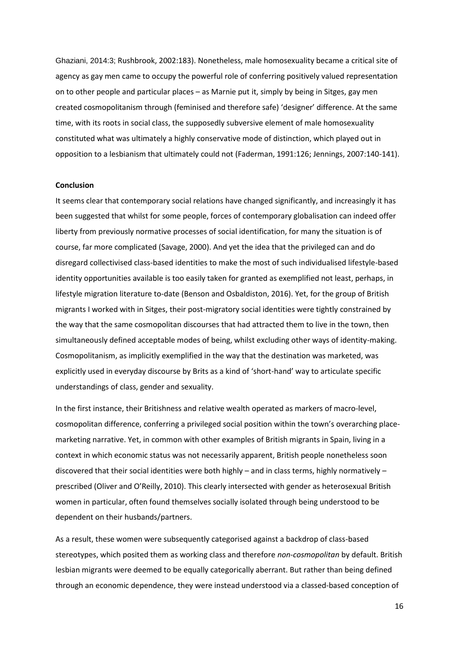Ghaziani, 2014:3; Rushbrook, 2002:183). Nonetheless, male homosexuality became a critical site of agency as gay men came to occupy the powerful role of conferring positively valued representation on to other people and particular places – as Marnie put it, simply by being in Sitges, gay men created cosmopolitanism through (feminised and therefore safe) 'designer' difference. At the same time, with its roots in social class, the supposedly subversive element of male homosexuality constituted what was ultimately a highly conservative mode of distinction, which played out in opposition to a lesbianism that ultimately could not (Faderman, 1991:126; Jennings, 2007:140-141).

#### **Conclusion**

It seems clear that contemporary social relations have changed significantly, and increasingly it has been suggested that whilst for some people, forces of contemporary globalisation can indeed offer liberty from previously normative processes of social identification, for many the situation is of course, far more complicated (Savage, 2000). And yet the idea that the privileged can and do disregard collectivised class-based identities to make the most of such individualised lifestyle-based identity opportunities available is too easily taken for granted as exemplified not least, perhaps, in lifestyle migration literature to-date (Benson and Osbaldiston, 2016). Yet, for the group of British migrants I worked with in Sitges, their post-migratory social identities were tightly constrained by the way that the same cosmopolitan discourses that had attracted them to live in the town, then simultaneously defined acceptable modes of being, whilst excluding other ways of identity-making. Cosmopolitanism, as implicitly exemplified in the way that the destination was marketed, was explicitly used in everyday discourse by Brits as a kind of 'short-hand' way to articulate specific understandings of class, gender and sexuality.

In the first instance, their Britishness and relative wealth operated as markers of macro-level, cosmopolitan difference, conferring a privileged social position within the town's overarching placemarketing narrative. Yet, in common with other examples of British migrants in Spain, living in a context in which economic status was not necessarily apparent, British people nonetheless soon discovered that their social identities were both highly – and in class terms, highly normatively – prescribed (Oliver and O'Reilly, 2010). This clearly intersected with gender as heterosexual British women in particular, often found themselves socially isolated through being understood to be dependent on their husbands/partners.

As a result, these women were subsequently categorised against a backdrop of class-based stereotypes, which posited them as working class and therefore *non-cosmopolitan* by default. British lesbian migrants were deemed to be equally categorically aberrant. But rather than being defined through an economic dependence, they were instead understood via a classed-based conception of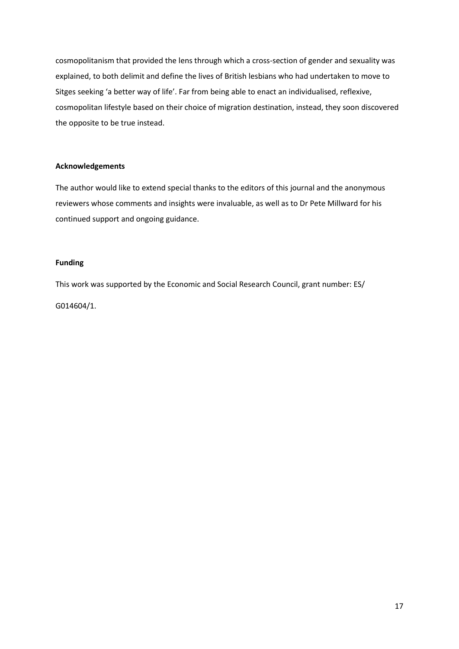cosmopolitanism that provided the lens through which a cross-section of gender and sexuality was explained, to both delimit and define the lives of British lesbians who had undertaken to move to Sitges seeking 'a better way of life'. Far from being able to enact an individualised, reflexive, cosmopolitan lifestyle based on their choice of migration destination, instead, they soon discovered the opposite to be true instead.

### **Acknowledgements**

The author would like to extend special thanks to the editors of this journal and the anonymous reviewers whose comments and insights were invaluable, as well as to Dr Pete Millward for his continued support and ongoing guidance.

# **Funding**

This work was supported by the Economic and Social Research Council, grant number: ES/ G014604/1.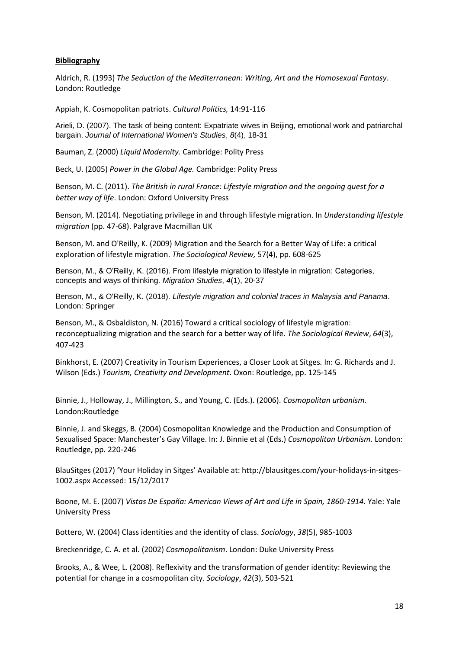### **Bibliography**

Aldrich, R. (1993) *The Seduction of the Mediterranean: Writing, Art and the Homosexual Fantasy*. London: Routledge

Appiah, K. Cosmopolitan patriots. *Cultural Politics,* 14:91-116

Arieli, D. (2007). The task of being content: Expatriate wives in Beijing, emotional work and patriarchal bargain. *Journal of International Women's Studies*, *8*(4), 18-31

Bauman, Z. (2000) *Liquid Modernity*. Cambridge: Polity Press

Beck, U. (2005) *Power in the Global Age.* Cambridge: Polity Press

Benson, M. C. (2011). *The British in rural France: Lifestyle migration and the ongoing quest for a better way of life*. London: Oxford University Press

Benson, M. (2014). Negotiating privilege in and through lifestyle migration. In *Understanding lifestyle migration* (pp. 47-68). Palgrave Macmillan UK

Benson, M. and O'Reilly, K. (2009) Migration and the Search for a Better Way of Life: a critical exploration of lifestyle migration. *The Sociological Review,* 57(4), pp. 608-625

Benson, M., & O'Reilly, K. (2016). From lifestyle migration to lifestyle in migration: Categories, concepts and ways of thinking. *Migration Studies*, *4*(1), 20-37

Benson, M., & O'Reilly, K. (2018). *Lifestyle migration and colonial traces in Malaysia and Panama*. London: Springer

Benson, M., & Osbaldiston, N. (2016) Toward a critical sociology of lifestyle migration: reconceptualizing migration and the search for a better way of life. *The Sociological Review*, *64*(3), 407-423

Binkhorst, E. (2007) Creativity in Tourism Experiences, a Closer Look at Sitges*.* In: G. Richards and J. Wilson (Eds.) *Tourism, Creativity and Development*. Oxon: Routledge, pp. 125-145

Binnie, J., Holloway, J., Millington, S., and Young, C. (Eds.). (2006). *Cosmopolitan urbanism*. London:Routledge

Binnie, J. and Skeggs, B. (2004) Cosmopolitan Knowledge and the Production and Consumption of Sexualised Space: Manchester's Gay Village. In: J. Binnie et al (Eds.) *Cosmopolitan Urbanism.* London: Routledge, pp. 220-246

BlauSitges (2017) 'Your Holiday in Sitges' Available at: http://blausitges.com/your-holidays-in-sitges-1002.aspx Accessed: 15/12/2017

Boone, M. E. (2007) *Vistas De España: American Views of Art and Life in Spain, 1860-1914*. Yale: Yale University Press

Bottero, W. (2004) Class identities and the identity of class. *Sociology*, *38*(5), 985-1003

Breckenridge, C. A. et al. (2002) *Cosmopolitanism*. London: Duke University Press

Brooks, A., & Wee, L. (2008). Reflexivity and the transformation of gender identity: Reviewing the potential for change in a cosmopolitan city. *Sociology*, *42*(3), 503-521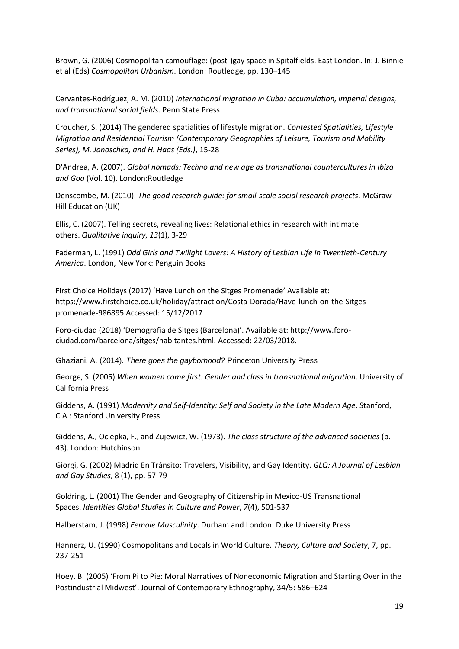Brown, G. (2006) Cosmopolitan camouflage: (post-)gay space in Spitalfields, East London. In: J. Binnie et al (Eds) *Cosmopolitan Urbanism*. London: Routledge, pp. 130–145

Cervantes-Rodríguez, A. M. (2010) *International migration in Cuba: accumulation, imperial designs, and transnational social fields*. Penn State Press

Croucher, S. (2014) The gendered spatialities of lifestyle migration. *Contested Spatialities, Lifestyle Migration and Residential Tourism (Contemporary Geographies of Leisure, Tourism and Mobility Series), M. Janoschka, and H. Haas (Eds.)*, 15-28

D'Andrea, A. (2007). *Global nomads: Techno and new age as transnational countercultures in Ibiza and Goa* (Vol. 10). London:Routledge

Denscombe, M. (2010). *The good research guide: for small-scale social research projects*. McGraw-Hill Education (UK)

Ellis, C. (2007). Telling secrets, revealing lives: Relational ethics in research with intimate others. *Qualitative inquiry*, *13*(1), 3-29

Faderman, L. (1991) *Odd Girls and Twilight Lovers: A History of Lesbian Life in Twentieth-Century America*. London, New York: Penguin Books

First Choice Holidays (2017) 'Have Lunch on the Sitges Promenade' Available at: https://www.firstchoice.co.uk/holiday/attraction/Costa-Dorada/Have-lunch-on-the-Sitgespromenade-986895 Accessed: 15/12/2017

Foro-ciudad (2018) 'Demografia de Sitges (Barcelona)'. Available at: http://www.forociudad.com/barcelona/sitges/habitantes.html. Accessed: 22/03/2018.

Ghaziani, A. (2014). *There goes the gayborhood?* Princeton University Press

George, S. (2005) *When women come first: Gender and class in transnational migration*. University of California Press

Giddens, A. (1991) *Modernity and Self-Identity: Self and Society in the Late Modern Age*. Stanford, C.A.: Stanford University Press

Giddens, A., Ociepka, F., and Zujewicz, W. (1973). *The class structure of the advanced societies* (p. 43). London: Hutchinson

Giorgi, G. (2002) Madrid En Tránsito: Travelers, Visibility, and Gay Identity. *GLQ: A Journal of Lesbian and Gay Studies*, 8 (1), pp. 57-79

Goldring, L. (2001) The Gender and Geography of Citizenship in Mexico‐US Transnational Spaces. *Identities Global Studies in Culture and Power*, *7*(4), 501-537

Halberstam, J. (1998) *Female Masculinity*. Durham and London: Duke University Press

Hannerz*,* U. (1990) Cosmopolitans and Locals in World Culture*. Theory, Culture and Society*, 7, pp. 237-251

Hoey, B. (2005) 'From Pi to Pie: Moral Narratives of Noneconomic Migration and Starting Over in the Postindustrial Midwest', Journal of Contemporary Ethnography, 34/5: 586–624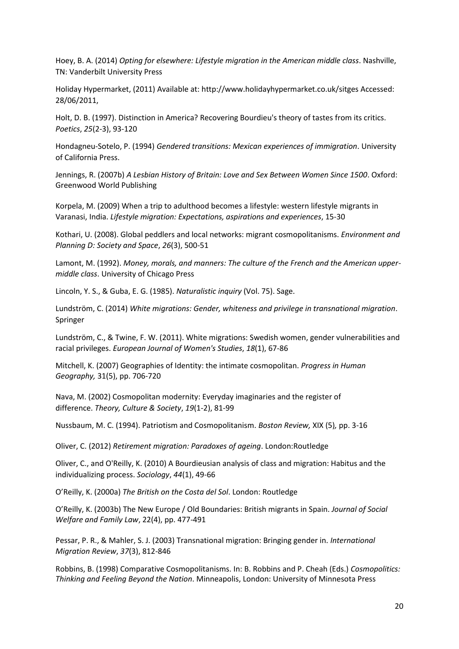Hoey, B. A. (2014) *Opting for elsewhere: Lifestyle migration in the American middle class*. Nashville, TN: Vanderbilt University Press

Holiday Hypermarket, (2011) Available at: http://www.holidayhypermarket.co.uk/sitges Accessed: 28/06/2011,

Holt, D. B. (1997). Distinction in America? Recovering Bourdieu's theory of tastes from its critics. *Poetics*, *25*(2-3), 93-120

Hondagneu-Sotelo, P. (1994) *Gendered transitions: Mexican experiences of immigration*. University of California Press.

Jennings, R. (2007b) *A Lesbian History of Britain: Love and Sex Between Women Since 1500*. Oxford: Greenwood World Publishing

Korpela, M. (2009) When a trip to adulthood becomes a lifestyle: western lifestyle migrants in Varanasi, India. *Lifestyle migration: Expectations, aspirations and experiences*, 15-30

Kothari, U. (2008). Global peddlers and local networks: migrant cosmopolitanisms. *Environment and Planning D: Society and Space*, *26*(3), 500-51

Lamont, M. (1992). *Money, morals, and manners: The culture of the French and the American uppermiddle class*. University of Chicago Press

Lincoln, Y. S., & Guba, E. G. (1985). *Naturalistic inquiry* (Vol. 75). Sage.

Lundström, C. (2014) *White migrations: Gender, whiteness and privilege in transnational migration*. Springer

Lundström, C., & Twine, F. W. (2011). White migrations: Swedish women, gender vulnerabilities and racial privileges. *European Journal of Women's Studies*, *18*(1), 67-86

Mitchell, K. (2007) Geographies of Identity: the intimate cosmopolitan. *Progress in Human Geography,* 31(5), pp. 706-720

Nava, M. (2002) Cosmopolitan modernity: Everyday imaginaries and the register of difference. *Theory, Culture & Society*, *19*(1-2), 81-99

Nussbaum, M. C. (1994). Patriotism and Cosmopolitanism. *Boston Review,* XIX (5)*,* pp. 3-16

Oliver, C. (2012) *Retirement migration: Paradoxes of ageing*. London:Routledge

Oliver, C., and O'Reilly, K. (2010) A Bourdieusian analysis of class and migration: Habitus and the individualizing process. *Sociology*, *44*(1), 49-66

O'Reilly, K. (2000a) *The British on the Costa del Sol*. London: Routledge

O'Reilly, K. (2003b) The New Europe / Old Boundaries: British migrants in Spain. *Journal of Social Welfare and Family Law*, 22(4), pp. 477-491

Pessar, P. R., & Mahler, S. J. (2003) Transnational migration: Bringing gender in. *International Migration Review*, *37*(3), 812-846

Robbins, B. (1998) Comparative Cosmopolitanisms. In: B. Robbins and P. Cheah (Eds.) *Cosmopolitics: Thinking and Feeling Beyond the Nation*. Minneapolis, London: University of Minnesota Press